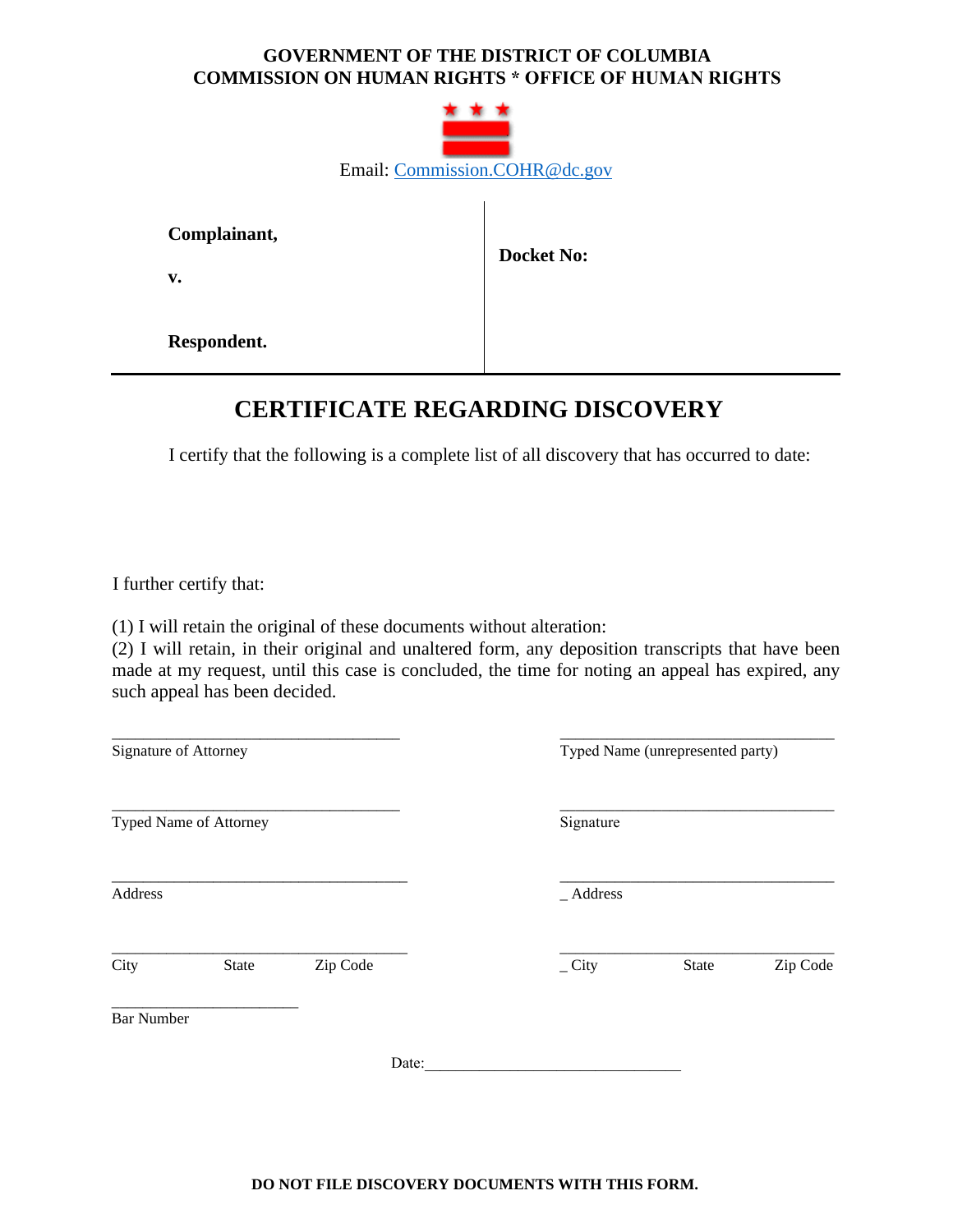## **GOVERNMENT OF THE DISTRICT OF COLUMBIA COMMISSION ON HUMAN RIGHTS \* OFFICE OF HUMAN RIGHTS**



**Complainant,**

**v.** 

 **Docket No:** 

**Respondent.**

## **CERTIFICATE REGARDING DISCOVERY**

I certify that the following is a complete list of all discovery that has occurred to date:

I further certify that:

(1) I will retain the original of these documents without alteration:

(2) I will retain, in their original and unaltered form, any deposition transcripts that have been made at my request, until this case is concluded, the time for noting an appeal has expired, any such appeal has been decided.

| Signature of Attorney |                        |          |                 | Typed Name (unrepresented party) |          |  |
|-----------------------|------------------------|----------|-----------------|----------------------------------|----------|--|
|                       | Typed Name of Attorney |          | Signature       |                                  |          |  |
| Address               |                        |          | $\_Address$     |                                  |          |  |
| City                  | State                  | Zip Code | $_{\rm -}$ City | State                            | Zip Code |  |
| <b>Bar Number</b>     |                        |          |                 |                                  |          |  |
|                       |                        | Date:    |                 |                                  |          |  |